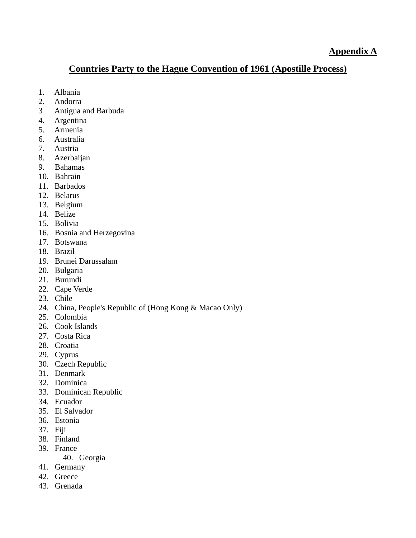## **Countries Party to the Hague Convention of 1961 (Apostille Process)**

- 1. Albania
- 2. Andorra
- 3 Antigua and Barbuda
- 4. Argentina
- 5. Armenia
- 6. Australia
- 7. Austria
- 8. Azerbaijan
- 9. Bahamas
- 10. Bahrain
- 11. Barbados
- 12. Belarus
- 13. Belgium
- 14. Belize
- 15. Bolivia
- 16. Bosnia and Herzegovina
- 17. Botswana
- 18. Brazil
- 19. Brunei Darussalam
- 20. Bulgaria
- 21. Burundi
- 22. Cape Verde
- 23. Chile
- 24. China, People's Republic of (Hong Kong & Macao Only)
- 25. Colombia
- 26. Cook Islands
- 27. Costa Rica
- 28. Croatia
- 29. Cyprus
- 30. Czech Republic
- 31. Denmark
- 32. Dominica
- 33. Dominican Republic
- 34. Ecuador
- 35. El Salvador
- 36. Estonia
- 37. Fiji
- 38. Finland
- 39. France
	- 40. Georgia
- 41. Germany
- 42. Greece
- 43. Grenada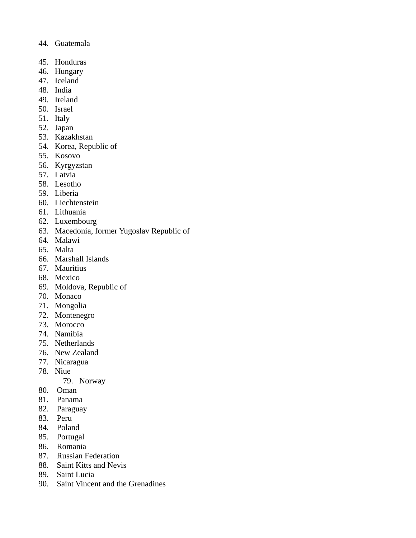- 44. Guatemala
- 45. Honduras
- 46. Hungary
- 47. Iceland
- 48. India
- 49. Ireland
- 50. Israel
- 51. Italy
- 52. Japan
- 53. Kazakhstan
- 54. Korea, Republic of
- 55. Kosovo
- 56. Kyrgyzstan
- 57. Latvia
- 58. Lesotho
- 59. Liberia
- 60. Liechtenstein
- 61. Lithuania
- 62. Luxembourg
- 63. Macedonia, former Yugoslav Republic of
- 64. Malawi
- 65. Malta
- 66. Marshall Islands
- 67. Mauritius
- 68. Mexico
- 69. Moldova, Republic of
- 70. Monaco
- 71. Mongolia
- 72. Montenegro
- 73. Morocco
- 74. Namibia
- 75. Netherlands
- 76. New Zealand
- 77. Nicaragua
- 78. Niue
	- 79. Norway
- 80. Oman
- 81. Panama
- 82. Paraguay
- 83. Peru
- 84. Poland
- 85. Portugal
- 86. Romania
- 87. Russian Federation
- 88. Saint Kitts and Nevis
- 89. Saint Lucia
- 90. Saint Vincent and the Grenadines